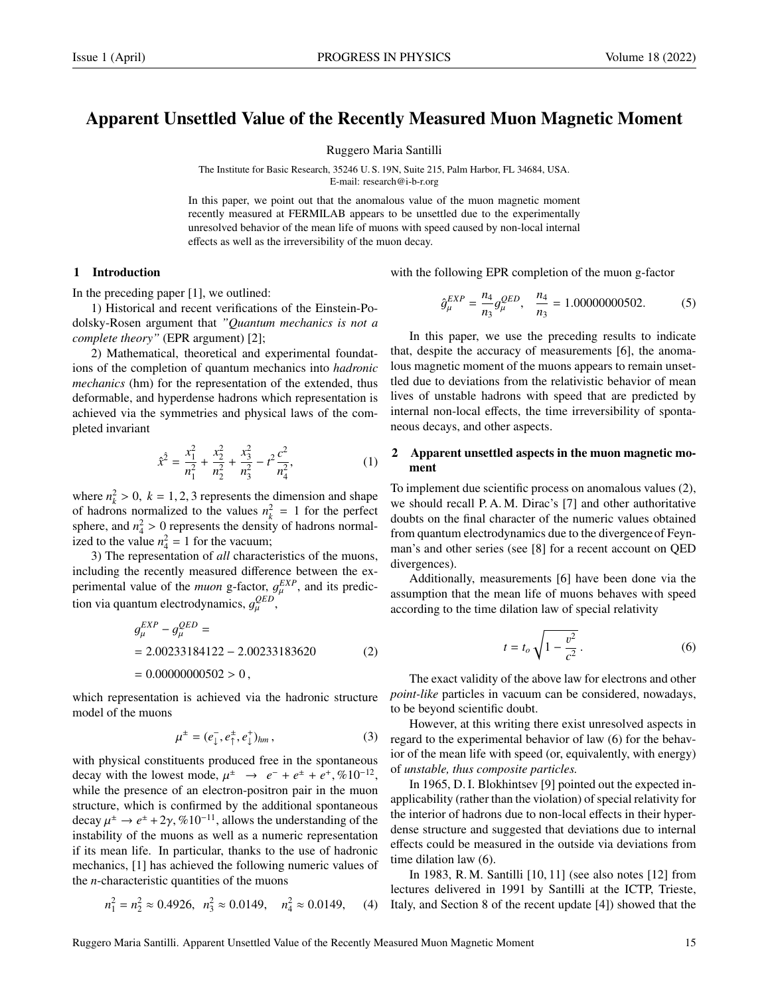# Apparent Unsettled Value of the Recently Measured Muon Magnetic Moment

Ruggero Maria Santilli

The Institute for Basic Research, 35246 U. S. 19N, Suite 215, Palm Harbor, FL 34684, USA. E-mail: research@i-b-r.org

In this paper, we point out that the anomalous value of the muon magnetic moment recently measured at FERMILAB appears to be unsettled due to the experimentally unresolved behavior of the mean life of muons with speed caused by non-local internal effects as well as the irreversibility of the muon decay.

### 1 Introduction

In the preceding paper [1], we outlined:

1) Historical and recent verifications of the Einstein-Podolsky-Rosen argument that *"Quantum mechanics is not a complete theory"* (EPR argument) [2];

2) Mathematical, theoretical and experimental foundations of the completion of quantum mechanics into *hadronic mechanics* (hm) for the representation of the extended, thus deformable, and hyperdense hadrons which representation is achieved via the symmetries and physical laws of the completed invariant

$$
\hat{x}^{\hat{2}} = \frac{x_1^2}{n_1^2} + \frac{x_2^2}{n_2^2} + \frac{x_3^2}{n_3^2} - t^2 \frac{c^2}{n_4^2},
$$
 (1)

where  $n_k^2 > 0$ ,  $k = 1, 2, 3$  represents the dimension and shape<br>of hadrons normalized to the values  $n^2 - 1$  for the perfect of hadrons normalized to the values  $n_k^2 = 1$  for the perfect sphere, and  $n_1^2 > 0$  represents the density of hadrons normal-<br>ized to the value  $n^2 - 1$  for the vacuum: ized to the value  $n_4^2 = 1$  for the vacuum;

3) The representation of *all* characteristics of the muons, including the recently measured difference between the experimental value of the *muon* g-factor,  $g_{\mu}^{EXP}$ , and its predicµ tion via quantum electrodynamics,  $g_{\mu}^{QED}$ ,

$$
g_{\mu}^{EXP} - g_{\mu}^{QED} =
$$
  
= 2.00233184122 - 2.00233183620 (2)  
= 0.00000000502 > 0,

which representation is achieved via the hadronic structure model of the muons

$$
\mu^{\pm} = (e_{\downarrow}^{\pm}, e_{\uparrow}^{\pm}, e_{\downarrow}^{\pm})_{hm}, \qquad (3)
$$

with physical constituents produced free in the spontaneous decay with the lowest mode,  $\mu^{\pm} \rightarrow e^{-} + e^{\pm} + e^{+}$ , %10<sup>-12</sup>, while the presence of an electron-positron pair in the muon while the presence of an electron-positron pair in the muon structure, which is confirmed by the additional spontaneous decay  $\mu^{\pm} \rightarrow e^{\pm} + 2\gamma$ , %10<sup>-11</sup>, allows the understanding of the instability of the muons as well as a numeric representation instability of the muons as well as a numeric representation if its mean life. In particular, thanks to the use of hadronic mechanics, [1] has achieved the following numeric values of the *n*-characteristic quantities of the muons

$$
n_1^2 = n_2^2 \approx 0.4926, \ \ n_3^2 \approx 0.0149, \ \ n_4^2 \approx 0.0149, \ \ (4)
$$

with the following EPR completion of the muon g-factor

$$
\hat{g}_{\mu}^{EXP} = \frac{n_4}{n_3} g_{\mu}^{QED}, \quad \frac{n_4}{n_3} = 1.00000000502. \tag{5}
$$

In this paper, we use the preceding results to indicate that, despite the accuracy of measurements [6], the anomalous magnetic moment of the muons appears to remain unsettled due to deviations from the relativistic behavior of mean lives of unstable hadrons with speed that are predicted by internal non-local effects, the time irreversibility of spontaneous decays, and other aspects.

#### 2 Apparent unsettled aspects in the muon magnetic moment

To implement due scientific process on anomalous values (2), we should recall P. A. M. Dirac's [7] and other authoritative doubts on the final character of the numeric values obtained from quantum electrodynamics due to the divergenceof Feynman's and other series (see [8] for a recent account on QED divergences).

Additionally, measurements [6] have been done via the assumption that the mean life of muons behaves with speed according to the time dilation law of special relativity

$$
t = t_o \sqrt{1 - \frac{v^2}{c^2}}.
$$
 (6)

The exact validity of the above law for electrons and other *point-like* particles in vacuum can be considered, nowadays, to be beyond scientific doubt.

However, at this writing there exist unresolved aspects in regard to the experimental behavior of law (6) for the behavior of the mean life with speed (or, equivalently, with energy) of *unstable, thus composite particles.*

In 1965, D. I. Blokhintsev [9] pointed out the expected inapplicability (rather than the violation) of special relativity for the interior of hadrons due to non-local effects in their hyperdense structure and suggested that deviations due to internal effects could be measured in the outside via deviations from time dilation law (6).

In 1983, R. M. Santilli [10, 11] (see also notes [12] from lectures delivered in 1991 by Santilli at the ICTP, Trieste, Italy, and Section 8 of the recent update [4]) showed that the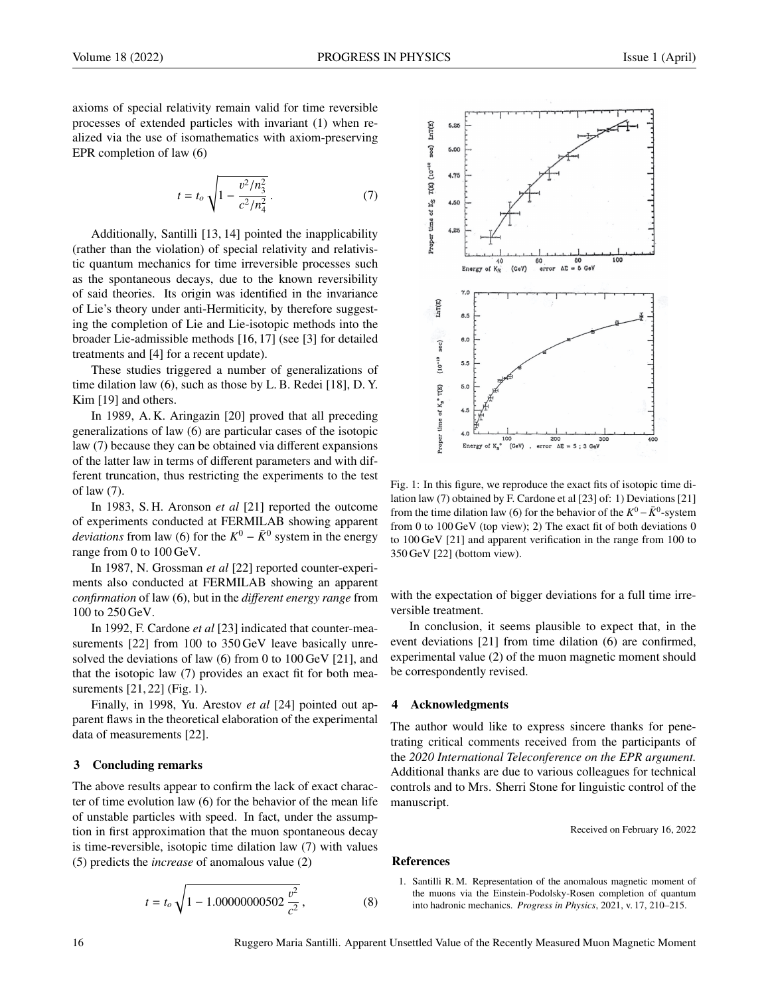axioms of special relativity remain valid for time reversible processes of extended particles with invariant (1) when realized via the use of isomathematics with axiom-preserving EPR completion of law (6)

$$
t = t_o \sqrt{1 - \frac{v^2/n_3^2}{c^2/n_4^2}}.
$$
 (7)

Additionally, Santilli [13, 14] pointed the inapplicability (rather than the violation) of special relativity and relativistic quantum mechanics for time irreversible processes such as the spontaneous decays, due to the known reversibility of said theories. Its origin was identified in the invariance of Lie's theory under anti-Hermiticity, by therefore suggesting the completion of Lie and Lie-isotopic methods into the broader Lie-admissible methods [16, 17] (see [3] for detailed treatments and [4] for a recent update).

These studies triggered a number of generalizations of time dilation law (6), such as those by L. B. Redei [18], D. Y. Kim [19] and others.

In 1989, A. K. Aringazin [20] proved that all preceding generalizations of law (6) are particular cases of the isotopic law (7) because they can be obtained via different expansions of the latter law in terms of different parameters and with different truncation, thus restricting the experiments to the test of law (7).

In 1983, S. H. Aronson *et al* [21] reported the outcome of experiments conducted at FERMILAB showing apparent *deviations* from law (6) for the  $K^0 - \bar{K}^0$  system in the energy range from 0 to 100 GeV.

In 1987, N. Grossman *et al* [22] reported counter-experiments also conducted at FERMILAB showing an apparent *confirmation* of law (6), but in the *di*ff*erent energy range* from 100 to 250 GeV.

In 1992, F. Cardone *et al* [23] indicated that counter-measurements [22] from 100 to 350 GeV leave basically unresolved the deviations of law (6) from 0 to 100 GeV [21], and that the isotopic law (7) provides an exact fit for both measurements [21, 22] (Fig. 1).

Finally, in 1998, Yu. Arestov *et al* [24] pointed out apparent flaws in the theoretical elaboration of the experimental data of measurements [22].

#### 3 Concluding remarks

The above results appear to confirm the lack of exact character of time evolution law (6) for the behavior of the mean life of unstable particles with speed. In fact, under the assumption in first approximation that the muon spontaneous decay is time-reversible, isotopic time dilation law (7) with values (5) predicts the *increase* of anomalous value (2)

$$
t = t_o \sqrt{1 - 1.00000000502 \frac{v^2}{c^2}},
$$
 (8)



Fig. 1: In this figure, we reproduce the exact fits of isotopic time dilation law (7) obtained by F. Cardone et al [23] of: 1) Deviations [21] from the time dilation law (6) for the behavior of the  $K^0 - \bar{K}^0$ -system from 0 to 100 GeV (top view); 2) The exact fit of both deviations 0 to 100 GeV [21] and apparent verification in the range from 100 to 350 GeV [22] (bottom view).

with the expectation of bigger deviations for a full time irreversible treatment.

In conclusion, it seems plausible to expect that, in the event deviations [21] from time dilation (6) are confirmed, experimental value (2) of the muon magnetic moment should be correspondently revised.

## 4 Acknowledgments

The author would like to express sincere thanks for penetrating critical comments received from the participants of the *2020 International Teleconference on the EPR argument.* Additional thanks are due to various colleagues for technical controls and to Mrs. Sherri Stone for linguistic control of the manuscript.

Received on February 16, 2022

#### References

1. Santilli R. M. Representation of the anomalous magnetic moment of the muons via the Einstein-Podolsky-Rosen completion of quantum into hadronic mechanics. *Progress in Physics*, 2021, v. 17, 210–215.